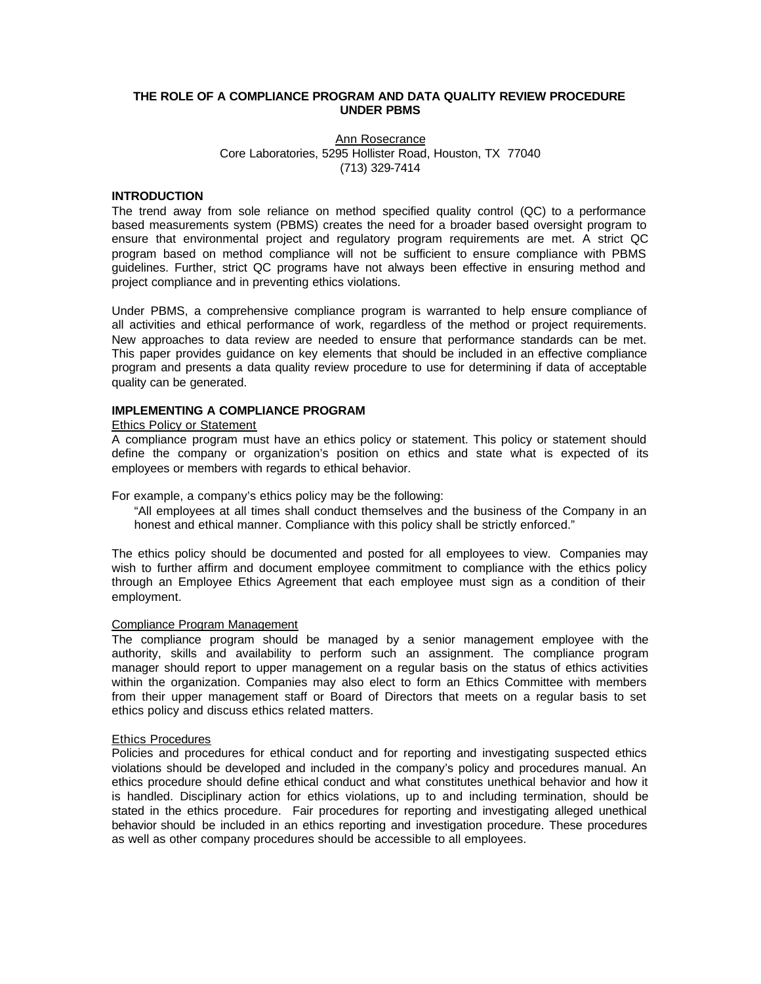# **THE ROLE OF A COMPLIANCE PROGRAM AND DATA QUALITY REVIEW PROCEDURE UNDER PBMS**

# Ann Rosecrance Core Laboratories, 5295 Hollister Road, Houston, TX 77040 (713) 329-7414

# **INTRODUCTION**

The trend away from sole reliance on method specified quality control (QC) to a performance based measurements system (PBMS) creates the need for a broader based oversight program to ensure that environmental project and regulatory program requirements are met. A strict QC program based on method compliance will not be sufficient to ensure compliance with PBMS guidelines. Further, strict QC programs have not always been effective in ensuring method and project compliance and in preventing ethics violations.

Under PBMS, a comprehensive compliance program is warranted to help ensure compliance of all activities and ethical performance of work, regardless of the method or project requirements. New approaches to data review are needed to ensure that performance standards can be met. This paper provides guidance on key elements that should be included in an effective compliance program and presents a data quality review procedure to use for determining if data of acceptable quality can be generated.

# **IMPLEMENTING A COMPLIANCE PROGRAM**

# Ethics Policy or Statement

A compliance program must have an ethics policy or statement. This policy or statement should define the company or organization's position on ethics and state what is expected of its employees or members with regards to ethical behavior.

For example, a company's ethics policy may be the following:

"All employees at all times shall conduct themselves and the business of the Company in an honest and ethical manner. Compliance with this policy shall be strictly enforced."

The ethics policy should be documented and posted for all employees to view. Companies may wish to further affirm and document employee commitment to compliance with the ethics policy through an Employee Ethics Agreement that each employee must sign as a condition of their employment.

# Compliance Program Management

The compliance program should be managed by a senior management employee with the authority, skills and availability to perform such an assignment. The compliance program manager should report to upper management on a regular basis on the status of ethics activities within the organization. Companies may also elect to form an Ethics Committee with members from their upper management staff or Board of Directors that meets on a regular basis to set ethics policy and discuss ethics related matters.

# Ethics Procedures

Policies and procedures for ethical conduct and for reporting and investigating suspected ethics violations should be developed and included in the company's policy and procedures manual. An ethics procedure should define ethical conduct and what constitutes unethical behavior and how it is handled. Disciplinary action for ethics violations, up to and including termination, should be stated in the ethics procedure. Fair procedures for reporting and investigating alleged unethical behavior should be included in an ethics reporting and investigation procedure. These procedures as well as other company procedures should be accessible to all employees.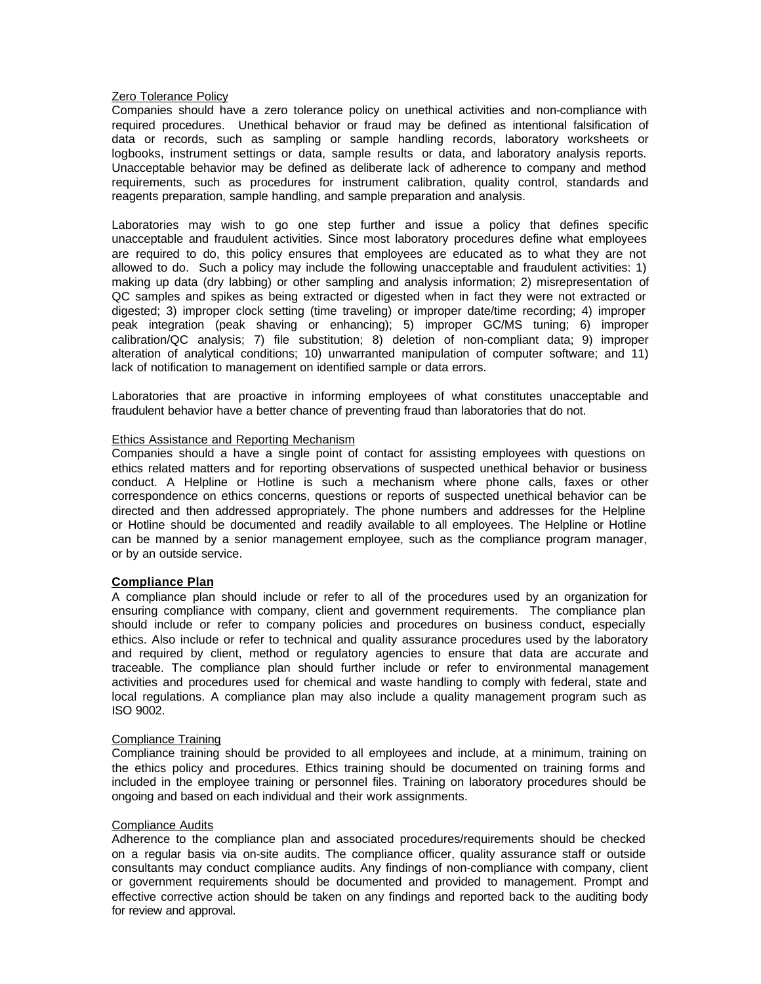# **Zero Tolerance Policy**

Companies should have a zero tolerance policy on unethical activities and non-compliance with required procedures. Unethical behavior or fraud may be defined as intentional falsification of data or records, such as sampling or sample handling records, laboratory worksheets or logbooks, instrument settings or data, sample results or data, and laboratory analysis reports. Unacceptable behavior may be defined as deliberate lack of adherence to company and method requirements, such as procedures for instrument calibration, quality control, standards and reagents preparation, sample handling, and sample preparation and analysis.

Laboratories may wish to go one step further and issue a policy that defines specific unacceptable and fraudulent activities. Since most laboratory procedures define what employees are required to do, this policy ensures that employees are educated as to what they are not allowed to do. Such a policy may include the following unacceptable and fraudulent activities: 1) making up data (dry labbing) or other sampling and analysis information; 2) misrepresentation of QC samples and spikes as being extracted or digested when in fact they were not extracted or digested; 3) improper clock setting (time traveling) or improper date/time recording; 4) improper peak integration (peak shaving or enhancing); 5) improper GC/MS tuning; 6) improper calibration/QC analysis; 7) file substitution; 8) deletion of non-compliant data; 9) improper alteration of analytical conditions; 10) unwarranted manipulation of computer software; and 11) lack of notification to management on identified sample or data errors.

Laboratories that are proactive in informing employees of what constitutes unacceptable and fraudulent behavior have a better chance of preventing fraud than laboratories that do not.

# Ethics Assistance and Reporting Mechanism

Companies should a have a single point of contact for assisting employees with questions on ethics related matters and for reporting observations of suspected unethical behavior or business conduct. A Helpline or Hotline is such a mechanism where phone calls, faxes or other correspondence on ethics concerns, questions or reports of suspected unethical behavior can be directed and then addressed appropriately. The phone numbers and addresses for the Helpline or Hotline should be documented and readily available to all employees. The Helpline or Hotline can be manned by a senior management employee, such as the compliance program manager, or by an outside service.

# **Compliance Plan**

A compliance plan should include or refer to all of the procedures used by an organization for ensuring compliance with company, client and government requirements. The compliance plan should include or refer to company policies and procedures on business conduct, especially ethics. Also include or refer to technical and quality assurance procedures used by the laboratory and required by client, method or regulatory agencies to ensure that data are accurate and traceable. The compliance plan should further include or refer to environmental management activities and procedures used for chemical and waste handling to comply with federal, state and local regulations. A compliance plan may also include a quality management program such as ISO 9002.

# Compliance Training

Compliance training should be provided to all employees and include, at a minimum, training on the ethics policy and procedures. Ethics training should be documented on training forms and included in the employee training or personnel files. Training on laboratory procedures should be ongoing and based on each individual and their work assignments.

# Compliance Audits

Adherence to the compliance plan and associated procedures/requirements should be checked on a regular basis via on-site audits. The compliance officer, quality assurance staff or outside consultants may conduct compliance audits. Any findings of non-compliance with company, client or government requirements should be documented and provided to management. Prompt and effective corrective action should be taken on any findings and reported back to the auditing body for review and approval.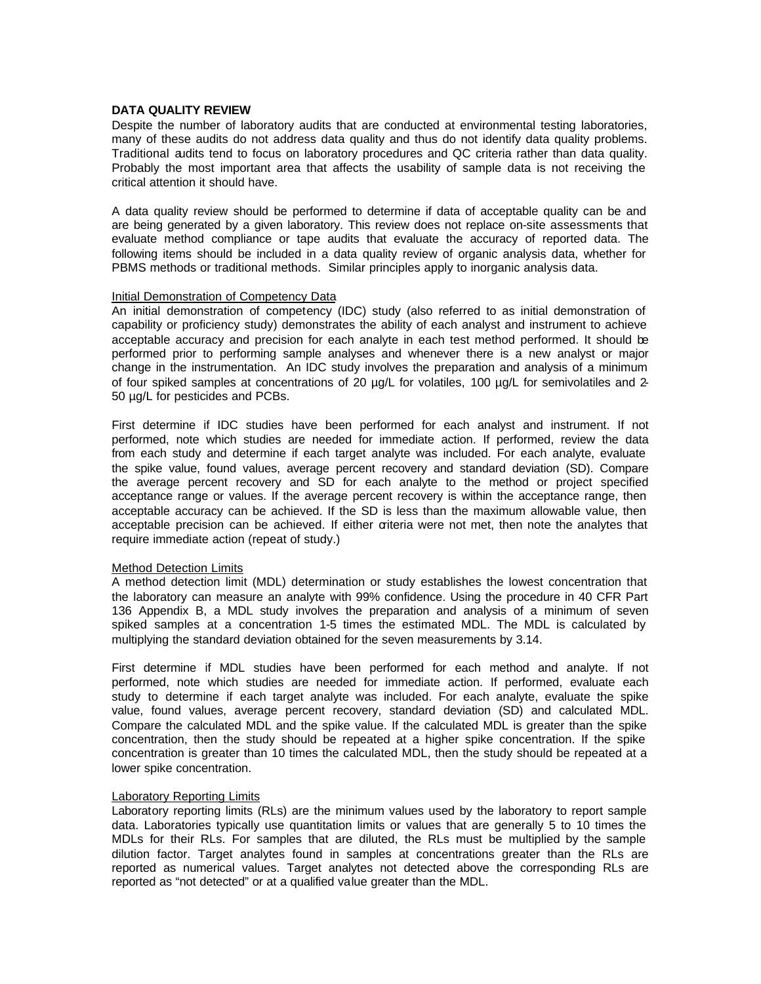# **DATA QUALITY REVIEW**

Despite the number of laboratory audits that are conducted at environmental testing laboratories, many of these audits do not address data quality and thus do not identify data quality problems. Traditional audits tend to focus on laboratory procedures and QC criteria rather than data quality. Probably the most important area that affects the usability of sample data is not receiving the critical attention it should have.

A data quality review should be performed to determine if data of acceptable quality can be and are being generated by a given laboratory. This review does not replace on-site assessments that evaluate method compliance or tape audits that evaluate the accuracy of reported data. The following items should be included in a data quality review of organic analysis data, whether for PBMS methods or traditional methods. Similar principles apply to inorganic analysis data.

# Initial Demonstration of Competency Data

An initial demonstration of competency (IDC) study (also referred to as initial demonstration of capability or proficiency study) demonstrates the ability of each analyst and instrument to achieve acceptable accuracy and precision for each analyte in each test method performed. It should be performed prior to performing sample analyses and whenever there is a new analyst or major change in the instrumentation. An IDC study involves the preparation and analysis of a minimum of four spiked samples at concentrations of 20  $\mu$ g/L for volatiles, 100  $\mu$ g/L for semivolatiles and 2-50 µg/L for pesticides and PCBs.

First determine if IDC studies have been performed for each analyst and instrument. If not performed, note which studies are needed for immediate action. If performed, review the data from each study and determine if each target analyte was included. For each analyte, evaluate the spike value, found values, average percent recovery and standard deviation (SD). Compare the average percent recovery and SD for each analyte to the method or project specified acceptance range or values. If the average percent recovery is within the acceptance range, then acceptable accuracy can be achieved. If the SD is less than the maximum allowable value, then acceptable precision can be achieved. If either criteria were not met, then note the analytes that require immediate action (repeat of study.)

# Method Detection Limits

A method detection limit (MDL) determination or study establishes the lowest concentration that the laboratory can measure an analyte with 99% confidence. Using the procedure in 40 CFR Part 136 Appendix B, a MDL study involves the preparation and analysis of a minimum of seven spiked samples at a concentration 1-5 times the estimated MDL. The MDL is calculated by multiplying the standard deviation obtained for the seven measurements by 3.14.

First determine if MDL studies have been performed for each method and analyte. If not performed, note which studies are needed for immediate action. If performed, evaluate each study to determine if each target analyte was included. For each analyte, evaluate the spike value, found values, average percent recovery, standard deviation (SD) and calculated MDL. Compare the calculated MDL and the spike value. If the calculated MDL is greater than the spike concentration, then the study should be repeated at a higher spike concentration. If the spike concentration is greater than 10 times the calculated MDL, then the study should be repeated at a lower spike concentration.

# Laboratory Reporting Limits

Laboratory reporting limits (RLs) are the minimum values used by the laboratory to report sample data. Laboratories typically use quantitation limits or values that are generally 5 to 10 times the MDLs for their RLs. For samples that are diluted, the RLs must be multiplied by the sample dilution factor. Target analytes found in samples at concentrations greater than the RLs are reported as numerical values. Target analytes not detected above the corresponding RLs are reported as "not detected" or at a qualified value greater than the MDL.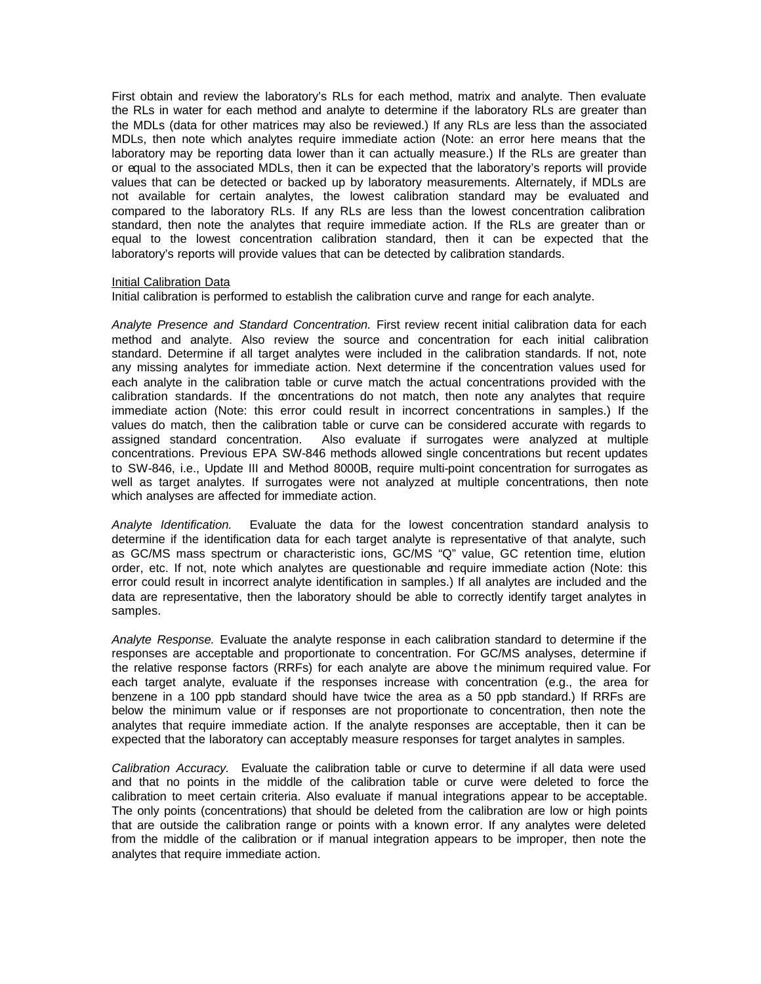First obtain and review the laboratory's RLs for each method, matrix and analyte. Then evaluate the RLs in water for each method and analyte to determine if the laboratory RLs are greater than the MDLs (data for other matrices may also be reviewed.) If any RLs are less than the associated MDLs, then note which analytes require immediate action (Note: an error here means that the laboratory may be reporting data lower than it can actually measure.) If the RLs are greater than or equal to the associated MDLs, then it can be expected that the laboratory's reports will provide values that can be detected or backed up by laboratory measurements. Alternately, if MDLs are not available for certain analytes, the lowest calibration standard may be evaluated and compared to the laboratory RLs. If any RLs are less than the lowest concentration calibration standard, then note the analytes that require immediate action. If the RLs are greater than or equal to the lowest concentration calibration standard, then it can be expected that the laboratory's reports will provide values that can be detected by calibration standards.

# Initial Calibration Data

Initial calibration is performed to establish the calibration curve and range for each analyte.

*Analyte Presence and Standard Concentration.* First review recent initial calibration data for each method and analyte. Also review the source and concentration for each initial calibration standard. Determine if all target analytes were included in the calibration standards. If not, note any missing analytes for immediate action. Next determine if the concentration values used for each analyte in the calibration table or curve match the actual concentrations provided with the calibration standards. If the concentrations do not match, then note any analytes that require immediate action (Note: this error could result in incorrect concentrations in samples.) If the values do match, then the calibration table or curve can be considered accurate with regards to assigned standard concentration. Also evaluate if surrogates were analyzed at multiple concentrations. Previous EPA SW-846 methods allowed single concentrations but recent updates to SW-846, i.e., Update III and Method 8000B, require multi-point concentration for surrogates as well as target analytes. If surrogates were not analyzed at multiple concentrations, then note which analyses are affected for immediate action.

*Analyte Identification.* Evaluate the data for the lowest concentration standard analysis to determine if the identification data for each target analyte is representative of that analyte, such as GC/MS mass spectrum or characteristic ions, GC/MS "Q" value, GC retention time, elution order, etc. If not, note which analytes are questionable and require immediate action (Note: this error could result in incorrect analyte identification in samples.) If all analytes are included and the data are representative, then the laboratory should be able to correctly identify target analytes in samples.

*Analyte Response.* Evaluate the analyte response in each calibration standard to determine if the responses are acceptable and proportionate to concentration. For GC/MS analyses, determine if the relative response factors (RRFs) for each analyte are above t he minimum required value. For each target analyte, evaluate if the responses increase with concentration (e.g., the area for benzene in a 100 ppb standard should have twice the area as a 50 ppb standard.) If RRFs are below the minimum value or if responses are not proportionate to concentration, then note the analytes that require immediate action. If the analyte responses are acceptable, then it can be expected that the laboratory can acceptably measure responses for target analytes in samples.

*Calibration Accuracy.* Evaluate the calibration table or curve to determine if all data were used and that no points in the middle of the calibration table or curve were deleted to force the calibration to meet certain criteria. Also evaluate if manual integrations appear to be acceptable. The only points (concentrations) that should be deleted from the calibration are low or high points that are outside the calibration range or points with a known error. If any analytes were deleted from the middle of the calibration or if manual integration appears to be improper, then note the analytes that require immediate action.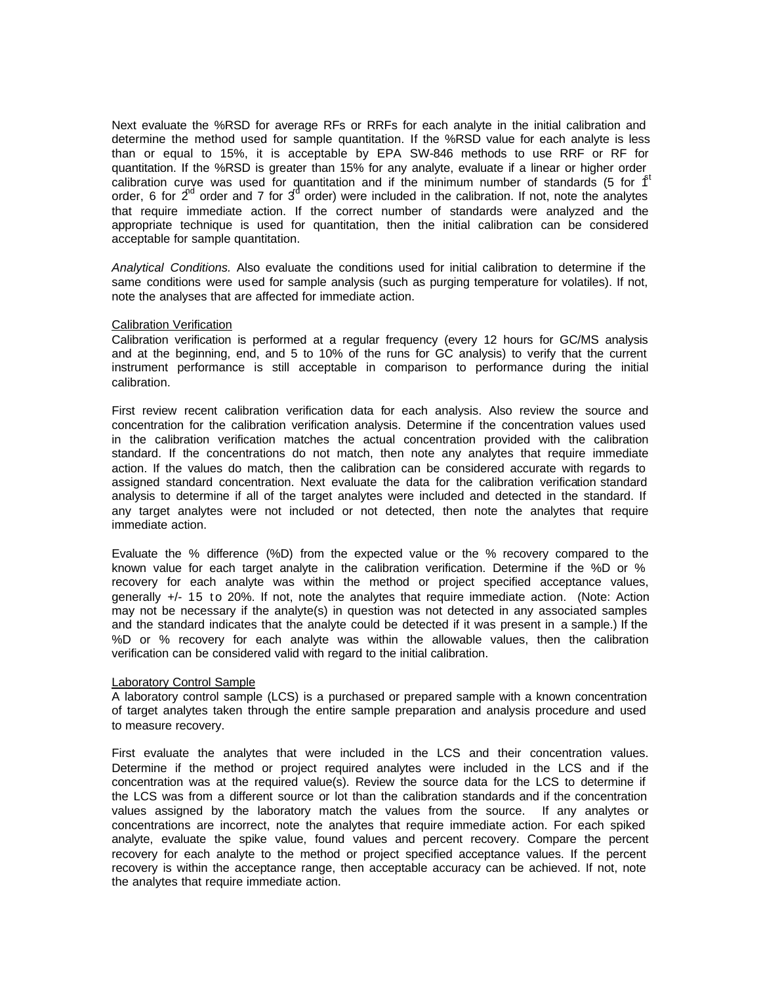Next evaluate the %RSD for average RFs or RRFs for each analyte in the initial calibration and determine the method used for sample quantitation. If the %RSD value for each analyte is less than or equal to 15%, it is acceptable by EPA SW-846 methods to use RRF or RF for quantitation. If the %RSD is greater than 15% for any analyte, evaluate if a linear or higher order calibration curve was used for quantitation and if the minimum number of standards (5 for  $f<sup>t</sup>$ order, 6 for  $2^{nd}$  order and 7 for  $3^d$  order) were included in the calibration. If not, note the analytes that require immediate action. If the correct number of standards were analyzed and the appropriate technique is used for quantitation, then the initial calibration can be considered acceptable for sample quantitation.

*Analytical Conditions.* Also evaluate the conditions used for initial calibration to determine if the same conditions were used for sample analysis (such as purging temperature for volatiles). If not, note the analyses that are affected for immediate action.

#### Calibration Verification

Calibration verification is performed at a regular frequency (every 12 hours for GC/MS analysis and at the beginning, end, and 5 to 10% of the runs for GC analysis) to verify that the current instrument performance is still acceptable in comparison to performance during the initial calibration.

First review recent calibration verification data for each analysis. Also review the source and concentration for the calibration verification analysis. Determine if the concentration values used in the calibration verification matches the actual concentration provided with the calibration standard. If the concentrations do not match, then note any analytes that require immediate action. If the values do match, then the calibration can be considered accurate with regards to assigned standard concentration. Next evaluate the data for the calibration verification standard analysis to determine if all of the target analytes were included and detected in the standard. If any target analytes were not included or not detected, then note the analytes that require immediate action.

Evaluate the % difference (%D) from the expected value or the % recovery compared to the known value for each target analyte in the calibration verification. Determine if the %D or % recovery for each analyte was within the method or project specified acceptance values, generally +/- 15 to 20%. If not, note the analytes that require immediate action. (Note: Action may not be necessary if the analyte(s) in question was not detected in any associated samples and the standard indicates that the analyte could be detected if it was present in a sample.) If the %D or % recovery for each analyte was within the allowable values, then the calibration verification can be considered valid with regard to the initial calibration.

#### Laboratory Control Sample

A laboratory control sample (LCS) is a purchased or prepared sample with a known concentration of target analytes taken through the entire sample preparation and analysis procedure and used to measure recovery.

First evaluate the analytes that were included in the LCS and their concentration values. Determine if the method or project required analytes were included in the LCS and if the concentration was at the required value(s). Review the source data for the LCS to determine if the LCS was from a different source or lot than the calibration standards and if the concentration values assigned by the laboratory match the values from the source. If any analytes or concentrations are incorrect, note the analytes that require immediate action. For each spiked analyte, evaluate the spike value, found values and percent recovery. Compare the percent recovery for each analyte to the method or project specified acceptance values. If the percent recovery is within the acceptance range, then acceptable accuracy can be achieved. If not, note the analytes that require immediate action.